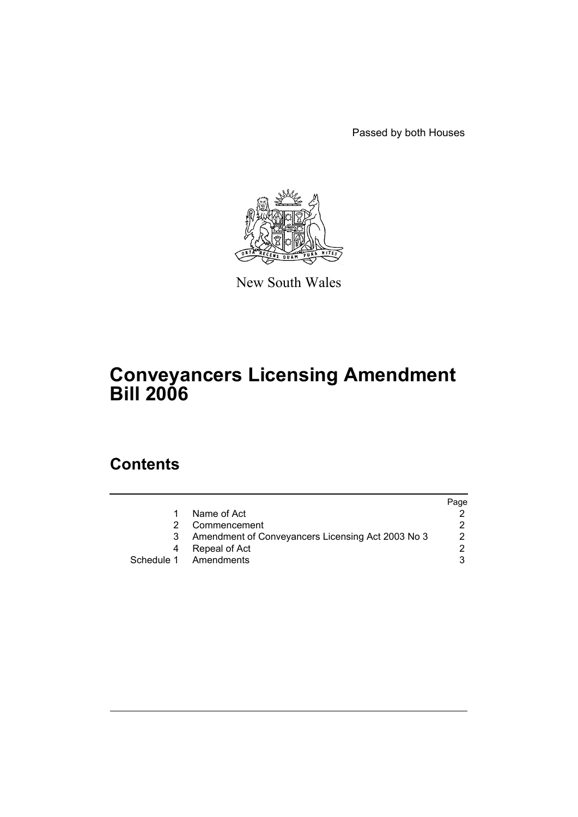Passed by both Houses



New South Wales

# **Conveyancers Licensing Amendment Bill 2006**

# **Contents**

|                                                   | Page |
|---------------------------------------------------|------|
| Name of Act                                       |      |
| Commencement                                      |      |
| Amendment of Conveyancers Licensing Act 2003 No 3 |      |
| Repeal of Act                                     |      |
| Schedule 1 Amendments                             |      |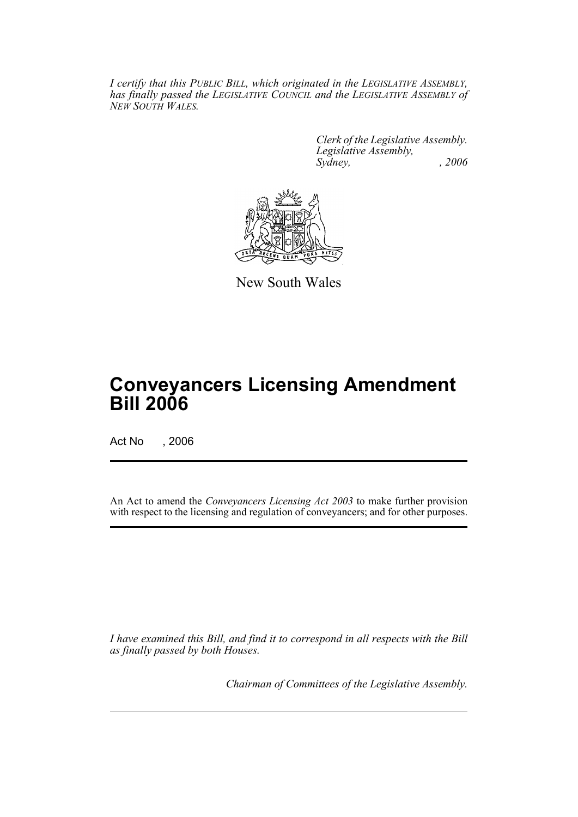*I certify that this PUBLIC BILL, which originated in the LEGISLATIVE ASSEMBLY, has finally passed the LEGISLATIVE COUNCIL and the LEGISLATIVE ASSEMBLY of NEW SOUTH WALES.*

> *Clerk of the Legislative Assembly. Legislative Assembly, Sydney, , 2006*



New South Wales

# **Conveyancers Licensing Amendment Bill 2006**

Act No , 2006

An Act to amend the *Conveyancers Licensing Act 2003* to make further provision with respect to the licensing and regulation of conveyancers; and for other purposes.

*I have examined this Bill, and find it to correspond in all respects with the Bill as finally passed by both Houses.*

*Chairman of Committees of the Legislative Assembly.*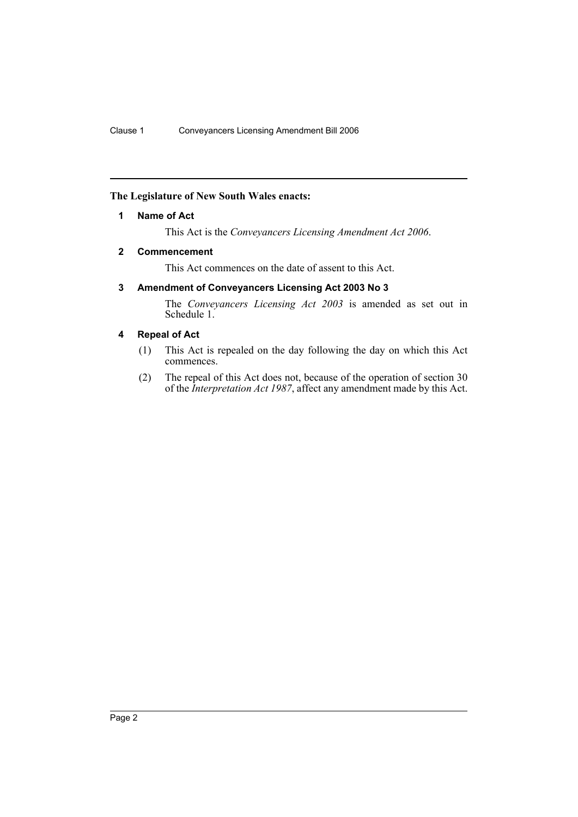# **The Legislature of New South Wales enacts:**

### **1 Name of Act**

This Act is the *Conveyancers Licensing Amendment Act 2006*.

#### **2 Commencement**

This Act commences on the date of assent to this Act.

# **3 Amendment of Conveyancers Licensing Act 2003 No 3**

The *Conveyancers Licensing Act 2003* is amended as set out in Schedule 1.

# **4 Repeal of Act**

- (1) This Act is repealed on the day following the day on which this Act commences.
- (2) The repeal of this Act does not, because of the operation of section 30 of the *Interpretation Act 1987*, affect any amendment made by this Act.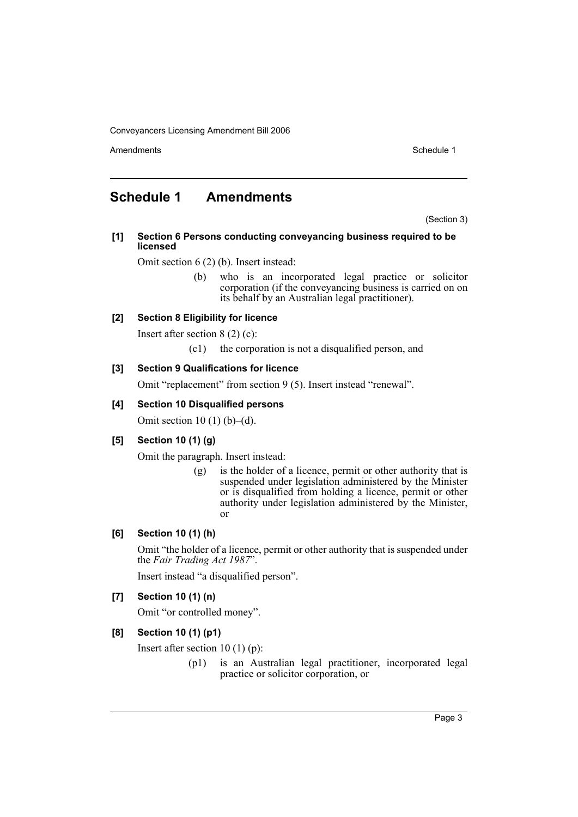Amendments **Schedule 1** and the set of the set of the set of the set of the set of the set of the set of the set of the set of the set of the set of the set of the set of the set of the set of the set of the set of the set

# **Schedule 1 Amendments**

(Section 3)

#### **[1] Section 6 Persons conducting conveyancing business required to be licensed**

Omit section 6 (2) (b). Insert instead:

(b) who is an incorporated legal practice or solicitor corporation (if the conveyancing business is carried on on its behalf by an Australian legal practitioner).

# **[2] Section 8 Eligibility for licence**

Insert after section 8 (2) (c):

(c1) the corporation is not a disqualified person, and

#### **[3] Section 9 Qualifications for licence**

Omit "replacement" from section 9 (5). Insert instead "renewal".

#### **[4] Section 10 Disqualified persons**

Omit section 10 $(1)$  $(b)$ – $(d)$ .

# **[5] Section 10 (1) (g)**

Omit the paragraph. Insert instead:

(g) is the holder of a licence, permit or other authority that is suspended under legislation administered by the Minister or is disqualified from holding a licence, permit or other authority under legislation administered by the Minister, or

# **[6] Section 10 (1) (h)**

Omit "the holder of a licence, permit or other authority that is suspended under the *Fair Trading Act 1987*".

Insert instead "a disqualified person".

#### **[7] Section 10 (1) (n)**

Omit "or controlled money".

# **[8] Section 10 (1) (p1)**

Insert after section 10 (1) (p):

(p1) is an Australian legal practitioner, incorporated legal practice or solicitor corporation, or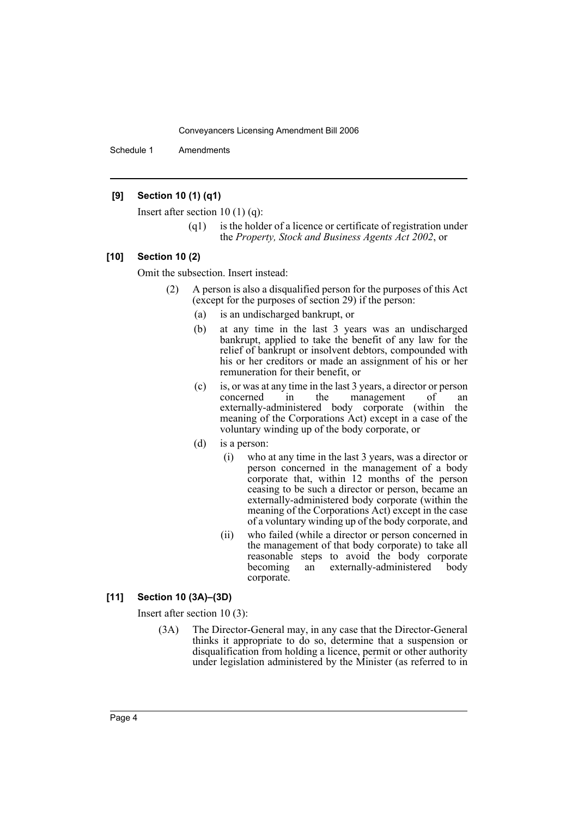Schedule 1 Amendments

# **[9] Section 10 (1) (q1)**

Insert after section 10 (1) (q):

(q1) is the holder of a licence or certificate of registration under the *Property, Stock and Business Agents Act 2002*, or

#### **[10] Section 10 (2)**

Omit the subsection. Insert instead:

- (2) A person is also a disqualified person for the purposes of this Act (except for the purposes of section 29) if the person:
	- (a) is an undischarged bankrupt, or
	- (b) at any time in the last 3 years was an undischarged bankrupt, applied to take the benefit of any law for the relief of bankrupt or insolvent debtors, compounded with his or her creditors or made an assignment of his or her remuneration for their benefit, or
	- (c) is, or was at any time in the last 3 years, a director or person concerned in the management of an externally-administered body corporate (within the meaning of the Corporations Act) except in a case of the voluntary winding up of the body corporate, or
	- (d) is a person:
		- (i) who at any time in the last 3 years, was a director or person concerned in the management of a body corporate that, within 12 months of the person ceasing to be such a director or person, became an externally-administered body corporate (within the meaning of the Corporations Act) except in the case of a voluntary winding up of the body corporate, and
		- (ii) who failed (while a director or person concerned in the management of that body corporate) to take all reasonable steps to avoid the body corporate<br>becoming an externally-administered body externally-administered corporate.

### **[11] Section 10 (3A)–(3D)**

Insert after section 10 (3):

(3A) The Director-General may, in any case that the Director-General thinks it appropriate to do so, determine that a suspension or disqualification from holding a licence, permit or other authority under legislation administered by the Minister (as referred to in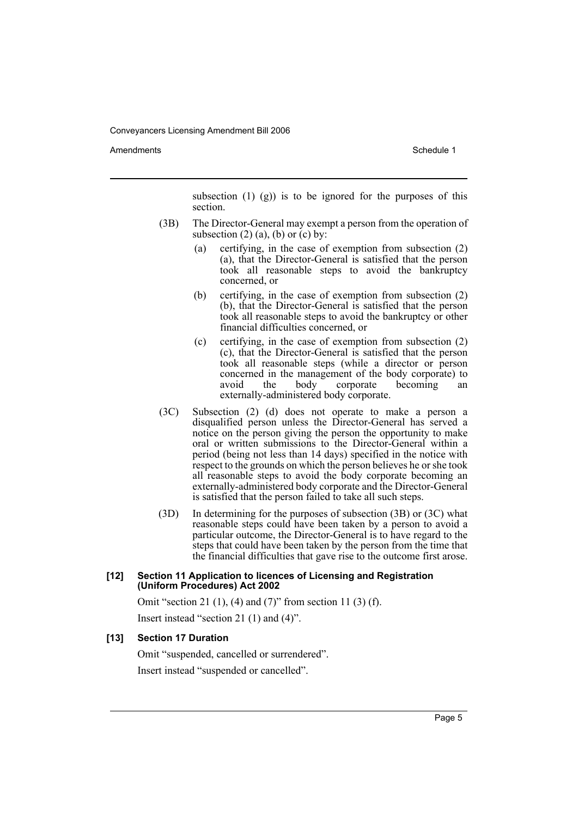Amendments **Amendments** Schedule 1

subsection  $(1)$   $(g)$  is to be ignored for the purposes of this section.

- (3B) The Director-General may exempt a person from the operation of subsection  $(2)$   $(a)$ ,  $(b)$  or  $(c)$  by:
	- (a) certifying, in the case of exemption from subsection (2) (a), that the Director-General is satisfied that the person took all reasonable steps to avoid the bankruptcy concerned, or
	- (b) certifying, in the case of exemption from subsection (2) (b), that the Director-General is satisfied that the person took all reasonable steps to avoid the bankruptcy or other financial difficulties concerned, or
	- (c) certifying, in the case of exemption from subsection (2) (c), that the Director-General is satisfied that the person took all reasonable steps (while a director or person concerned in the management of the body corporate) to avoid the body corporate becoming an externally-administered body corporate.
- (3C) Subsection (2) (d) does not operate to make a person a disqualified person unless the Director-General has served a notice on the person giving the person the opportunity to make oral or written submissions to the Director-General within a period (being not less than 14 days) specified in the notice with respect to the grounds on which the person believes he or she took all reasonable steps to avoid the body corporate becoming an externally-administered body corporate and the Director-General is satisfied that the person failed to take all such steps.
- (3D) In determining for the purposes of subsection (3B) or (3C) what reasonable steps could have been taken by a person to avoid a particular outcome, the Director-General is to have regard to the steps that could have been taken by the person from the time that the financial difficulties that gave rise to the outcome first arose.

#### **[12] Section 11 Application to licences of Licensing and Registration (Uniform Procedures) Act 2002**

Omit "section 21 (1), (4) and (7)" from section 11 (3) (f).

Insert instead "section 21 (1) and (4)".

# **[13] Section 17 Duration**

Omit "suspended, cancelled or surrendered". Insert instead "suspended or cancelled".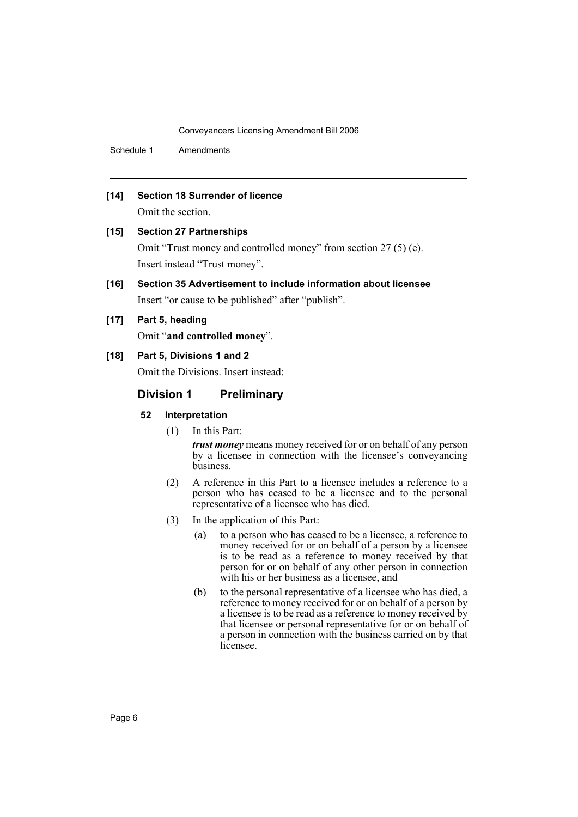Schedule 1 Amendments

# **[14] Section 18 Surrender of licence**

Omit the section.

#### **[15] Section 27 Partnerships**

Omit "Trust money and controlled money" from section 27 (5) (e). Insert instead "Trust money".

**[16] Section 35 Advertisement to include information about licensee** Insert "or cause to be published" after "publish".

#### **[17] Part 5, heading**

Omit "**and controlled money**".

# **[18] Part 5, Divisions 1 and 2**

Omit the Divisions. Insert instead:

#### **Division 1 Preliminary**

#### **52 Interpretation**

(1) In this Part:

*trust money* means money received for or on behalf of any person by a licensee in connection with the licensee's conveyancing business.

- (2) A reference in this Part to a licensee includes a reference to a person who has ceased to be a licensee and to the personal representative of a licensee who has died.
- (3) In the application of this Part:
	- (a) to a person who has ceased to be a licensee, a reference to money received for or on behalf of a person by a licensee is to be read as a reference to money received by that person for or on behalf of any other person in connection with his or her business as a licensee, and
	- (b) to the personal representative of a licensee who has died, a reference to money received for or on behalf of a person by a licensee is to be read as a reference to money received by that licensee or personal representative for or on behalf of a person in connection with the business carried on by that licensee.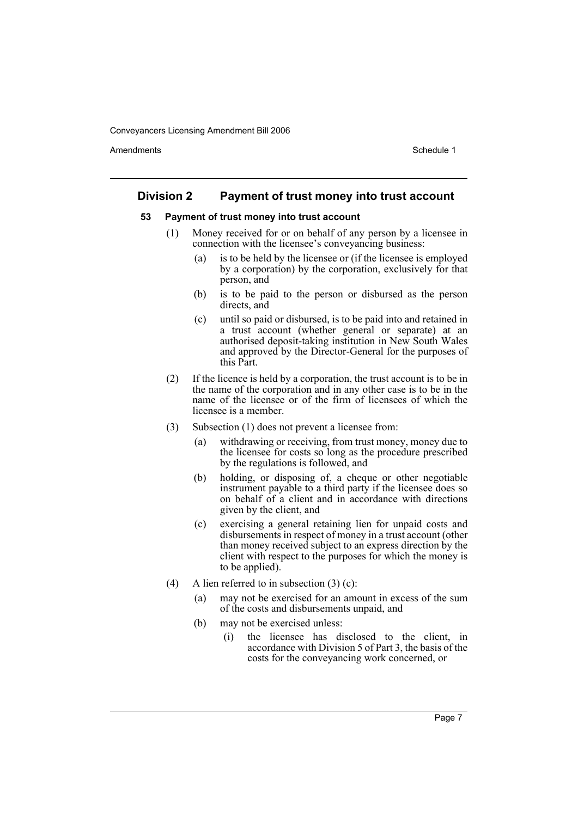Amendments **Amendments** Schedule 1

# **Division 2 Payment of trust money into trust account**

#### **53 Payment of trust money into trust account**

- (1) Money received for or on behalf of any person by a licensee in connection with the licensee's conveyancing business:
	- (a) is to be held by the licensee or (if the licensee is employed by a corporation) by the corporation, exclusively for that person, and
	- (b) is to be paid to the person or disbursed as the person directs, and
	- (c) until so paid or disbursed, is to be paid into and retained in a trust account (whether general or separate) at an authorised deposit-taking institution in New South Wales and approved by the Director-General for the purposes of this Part.
- (2) If the licence is held by a corporation, the trust account is to be in the name of the corporation and in any other case is to be in the name of the licensee or of the firm of licensees of which the licensee is a member.
- (3) Subsection (1) does not prevent a licensee from:
	- (a) withdrawing or receiving, from trust money, money due to the licensee for costs so long as the procedure prescribed by the regulations is followed, and
	- (b) holding, or disposing of, a cheque or other negotiable instrument payable to a third party if the licensee does so on behalf of a client and in accordance with directions given by the client, and
	- (c) exercising a general retaining lien for unpaid costs and disbursements in respect of money in a trust account (other than money received subject to an express direction by the client with respect to the purposes for which the money is to be applied).
- (4) A lien referred to in subsection  $(3)$  (c):
	- (a) may not be exercised for an amount in excess of the sum of the costs and disbursements unpaid, and
	- (b) may not be exercised unless:
		- (i) the licensee has disclosed to the client, in accordance with Division 5 of Part 3, the basis of the costs for the conveyancing work concerned, or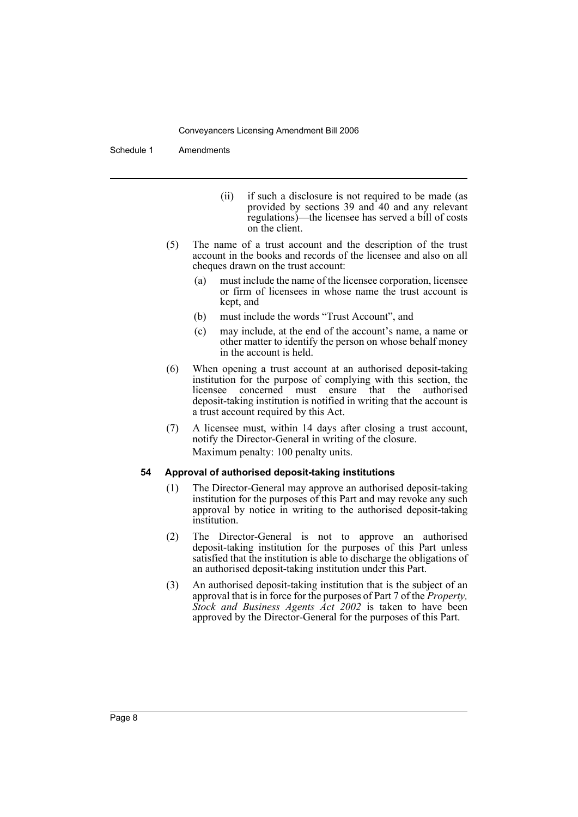Schedule 1 Amendments

- (ii) if such a disclosure is not required to be made (as provided by sections 39 and 40 and any relevant regulations)—the licensee has served a bill of costs on the client.
- (5) The name of a trust account and the description of the trust account in the books and records of the licensee and also on all cheques drawn on the trust account:
	- (a) must include the name of the licensee corporation, licensee or firm of licensees in whose name the trust account is kept, and
	- (b) must include the words "Trust Account", and
	- (c) may include, at the end of the account's name, a name or other matter to identify the person on whose behalf money in the account is held.
- (6) When opening a trust account at an authorised deposit-taking institution for the purpose of complying with this section, the licensee concerned must ensure that the authorised deposit-taking institution is notified in writing that the account is a trust account required by this Act.
- (7) A licensee must, within 14 days after closing a trust account, notify the Director-General in writing of the closure. Maximum penalty: 100 penalty units.

#### **54 Approval of authorised deposit-taking institutions**

- (1) The Director-General may approve an authorised deposit-taking institution for the purposes of this Part and may revoke any such approval by notice in writing to the authorised deposit-taking institution.
- (2) The Director-General is not to approve an authorised deposit-taking institution for the purposes of this Part unless satisfied that the institution is able to discharge the obligations of an authorised deposit-taking institution under this Part.
- (3) An authorised deposit-taking institution that is the subject of an approval that is in force for the purposes of Part 7 of the *Property, Stock and Business Agents Act 2002* is taken to have been approved by the Director-General for the purposes of this Part.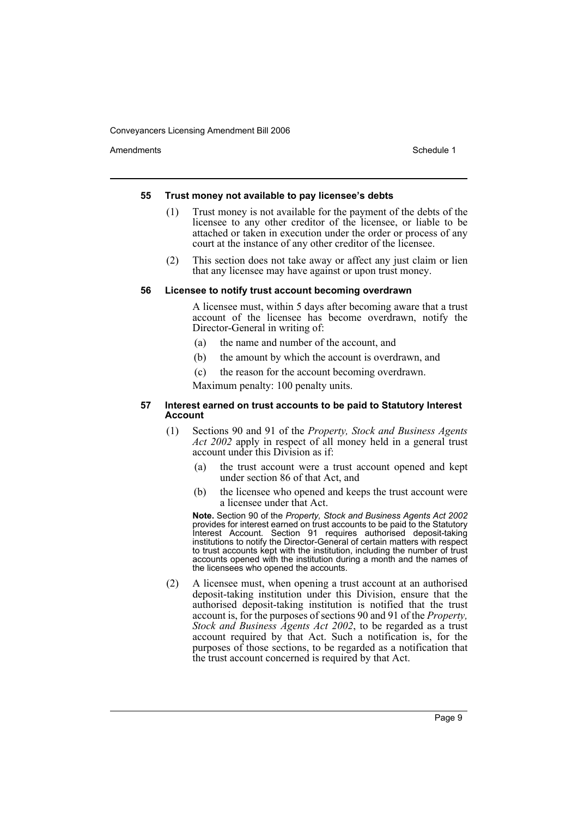Amendments **Amendments** Schedule 1

#### **55 Trust money not available to pay licensee's debts**

- (1) Trust money is not available for the payment of the debts of the licensee to any other creditor of the licensee, or liable to be attached or taken in execution under the order or process of any court at the instance of any other creditor of the licensee.
- (2) This section does not take away or affect any just claim or lien that any licensee may have against or upon trust money.

#### **56 Licensee to notify trust account becoming overdrawn**

A licensee must, within 5 days after becoming aware that a trust account of the licensee has become overdrawn, notify the Director-General in writing of:

- (a) the name and number of the account, and
- (b) the amount by which the account is overdrawn, and
- (c) the reason for the account becoming overdrawn.

Maximum penalty: 100 penalty units.

#### **57 Interest earned on trust accounts to be paid to Statutory Interest Account**

- (1) Sections 90 and 91 of the *Property, Stock and Business Agents Act 2002* apply in respect of all money held in a general trust account under this Division as if:
	- (a) the trust account were a trust account opened and kept under section 86 of that Act, and
	- (b) the licensee who opened and keeps the trust account were a licensee under that Act.

**Note.** Section 90 of the *Property, Stock and Business Agents Act 2002* provides for interest earned on trust accounts to be paid to the Statutory Interest Account. Section 91 requires authorised deposit-taking institutions to notify the Director-General of certain matters with respect to trust accounts kept with the institution, including the number of trust accounts opened with the institution during a month and the names of the licensees who opened the accounts.

(2) A licensee must, when opening a trust account at an authorised deposit-taking institution under this Division, ensure that the authorised deposit-taking institution is notified that the trust account is, for the purposes of sections 90 and 91 of the *Property, Stock and Business Agents Act 2002*, to be regarded as a trust account required by that Act. Such a notification is, for the purposes of those sections, to be regarded as a notification that the trust account concerned is required by that Act.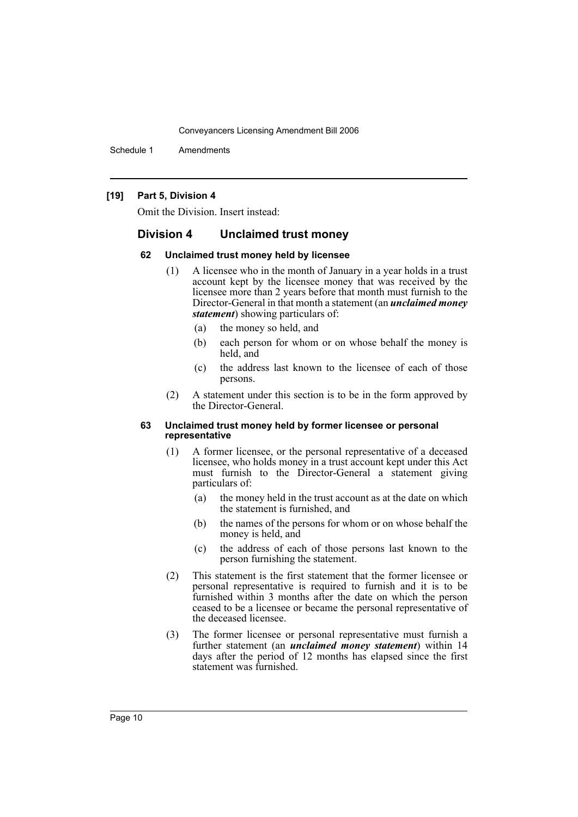Schedule 1 Amendments

#### **[19] Part 5, Division 4**

Omit the Division. Insert instead:

# **Division 4 Unclaimed trust money**

#### **62 Unclaimed trust money held by licensee**

- (1) A licensee who in the month of January in a year holds in a trust account kept by the licensee money that was received by the licensee more than 2 years before that month must furnish to the Director-General in that month a statement (an *unclaimed money statement*) showing particulars of:
	- (a) the money so held, and
	- (b) each person for whom or on whose behalf the money is held, and
	- (c) the address last known to the licensee of each of those persons.
- (2) A statement under this section is to be in the form approved by the Director-General.

#### **63 Unclaimed trust money held by former licensee or personal representative**

- (1) A former licensee, or the personal representative of a deceased licensee, who holds money in a trust account kept under this Act must furnish to the Director-General a statement giving particulars of:
	- (a) the money held in the trust account as at the date on which the statement is furnished, and
	- (b) the names of the persons for whom or on whose behalf the money is held, and
	- (c) the address of each of those persons last known to the person furnishing the statement.
- (2) This statement is the first statement that the former licensee or personal representative is required to furnish and it is to be furnished within 3 months after the date on which the person ceased to be a licensee or became the personal representative of the deceased licensee.
- (3) The former licensee or personal representative must furnish a further statement (an *unclaimed money statement*) within 14 days after the period of 12 months has elapsed since the first statement was furnished.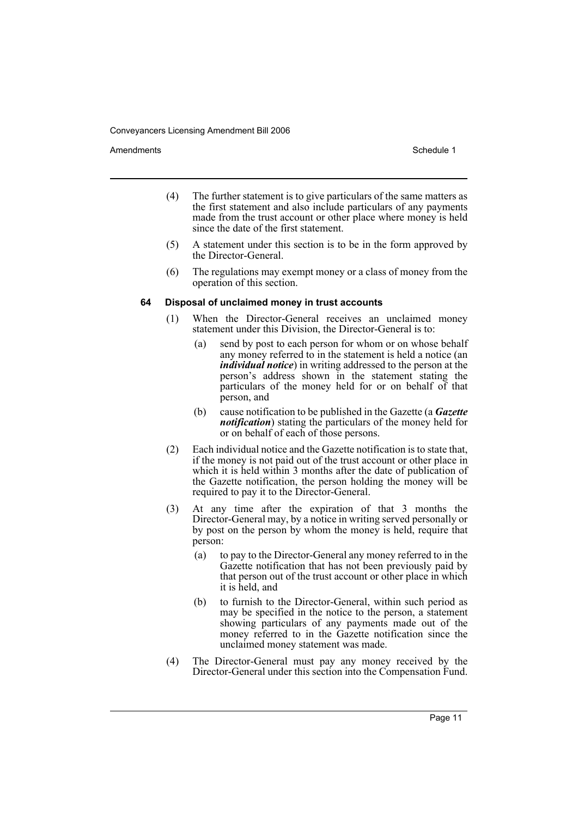Amendments **Amendments** Schedule 1

- (4) The further statement is to give particulars of the same matters as the first statement and also include particulars of any payments made from the trust account or other place where money is held since the date of the first statement.
- (5) A statement under this section is to be in the form approved by the Director-General.
- (6) The regulations may exempt money or a class of money from the operation of this section.

#### **64 Disposal of unclaimed money in trust accounts**

- (1) When the Director-General receives an unclaimed money statement under this Division, the Director-General is to:
	- (a) send by post to each person for whom or on whose behalf any money referred to in the statement is held a notice (an *individual notice*) in writing addressed to the person at the person's address shown in the statement stating the particulars of the money held for or on behalf of that person, and
	- (b) cause notification to be published in the Gazette (a *Gazette notification*) stating the particulars of the money held for or on behalf of each of those persons.
- (2) Each individual notice and the Gazette notification is to state that, if the money is not paid out of the trust account or other place in which it is held within 3 months after the date of publication of the Gazette notification, the person holding the money will be required to pay it to the Director-General.
- (3) At any time after the expiration of that 3 months the Director-General may, by a notice in writing served personally or by post on the person by whom the money is held, require that person:
	- (a) to pay to the Director-General any money referred to in the Gazette notification that has not been previously paid by that person out of the trust account or other place in which it is held, and
	- (b) to furnish to the Director-General, within such period as may be specified in the notice to the person, a statement showing particulars of any payments made out of the money referred to in the Gazette notification since the unclaimed money statement was made.
- (4) The Director-General must pay any money received by the Director-General under this section into the Compensation Fund.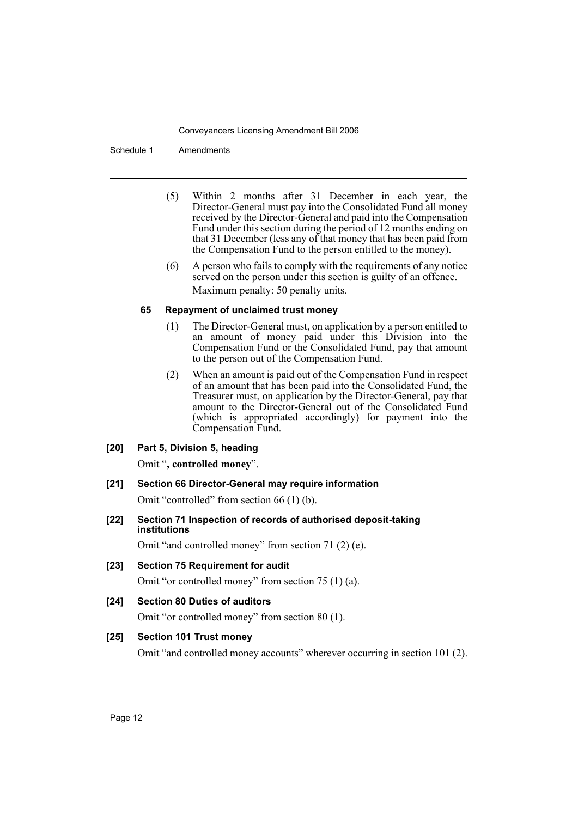Schedule 1 Amendments

- (5) Within 2 months after 31 December in each year, the Director-General must pay into the Consolidated Fund all money received by the Director-General and paid into the Compensation Fund under this section during the period of 12 months ending on that 31 December (less any of that money that has been paid from the Compensation Fund to the person entitled to the money).
- (6) A person who fails to comply with the requirements of any notice served on the person under this section is guilty of an offence. Maximum penalty: 50 penalty units.

#### **65 Repayment of unclaimed trust money**

- (1) The Director-General must, on application by a person entitled to an amount of money paid under this Division into the Compensation Fund or the Consolidated Fund, pay that amount to the person out of the Compensation Fund.
- (2) When an amount is paid out of the Compensation Fund in respect of an amount that has been paid into the Consolidated Fund, the Treasurer must, on application by the Director-General, pay that amount to the Director-General out of the Consolidated Fund (which is appropriated accordingly) for payment into the Compensation Fund.
- **[20] Part 5, Division 5, heading**

Omit "**, controlled money**".

**[21] Section 66 Director-General may require information**

Omit "controlled" from section 66 (1) (b).

**[22] Section 71 Inspection of records of authorised deposit-taking institutions**

Omit "and controlled money" from section 71 (2) (e).

- **[23] Section 75 Requirement for audit** Omit "or controlled money" from section 75 (1) (a).
- **[24] Section 80 Duties of auditors**

Omit "or controlled money" from section 80 (1).

# **[25] Section 101 Trust money**

Omit "and controlled money accounts" wherever occurring in section 101 (2).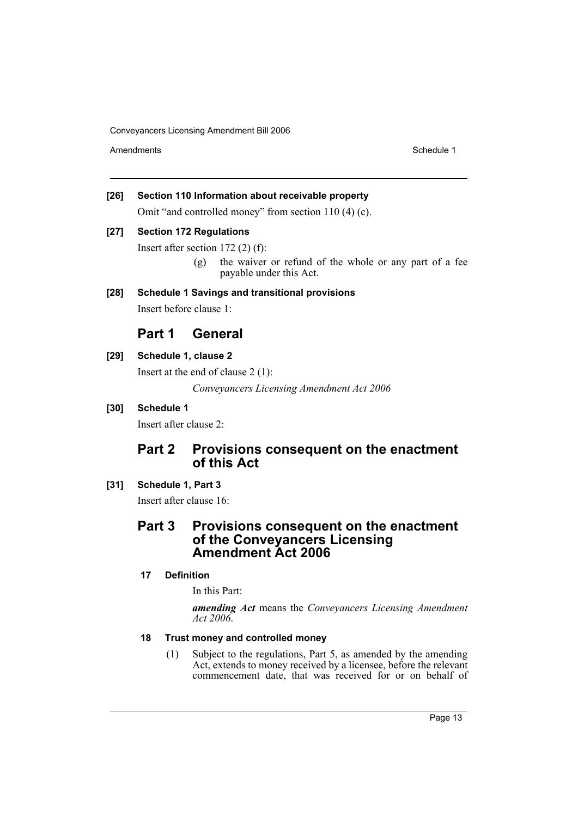Amendments **Schedule 1** and the set of the set of the set of the set of the set of the set of the set of the set of the set of the set of the set of the set of the set of the set of the set of the set of the set of the set

# **[26] Section 110 Information about receivable property**

Omit "and controlled money" from section 110 (4) (c).

#### **[27] Section 172 Regulations**

Insert after section 172 (2) (f):

(g) the waiver or refund of the whole or any part of a fee payable under this Act.

# **[28] Schedule 1 Savings and transitional provisions**

Insert before clause 1:

# **Part 1 General**

# **[29] Schedule 1, clause 2**

Insert at the end of clause 2 (1):

*Conveyancers Licensing Amendment Act 2006*

# **[30] Schedule 1**

Insert after clause 2:

# **Part 2 Provisions consequent on the enactment of this Act**

# **[31] Schedule 1, Part 3**

Insert after clause 16:

# **Part 3 Provisions consequent on the enactment of the Conveyancers Licensing Amendment Act 2006**

# **17 Definition**

In this Part:

*amending Act* means the *Conveyancers Licensing Amendment Act 2006*.

# **18 Trust money and controlled money**

(1) Subject to the regulations, Part 5, as amended by the amending Act, extends to money received by a licensee, before the relevant commencement date, that was received for or on behalf of